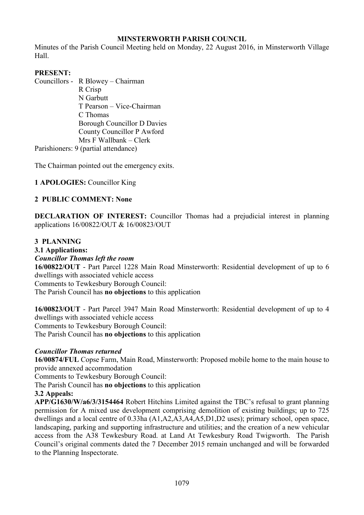# **MINSTERWORTH PARISH COUNCIL**

Minutes of the Parish Council Meeting held on Monday, 22 August 2016, in Minsterworth Village Hall.

## **PRESENT:**

Councillors - R Blowey – Chairman R Crisp N Garbutt T Pearson – Vice-Chairman C Thomas Borough Councillor D Davies County Councillor P Awford Mrs F Wallbank – Clerk Parishioners: 9 (partial attendance)

The Chairman pointed out the emergency exits.

# **1 APOLOGIES:** Councillor King

## **2 PUBLIC COMMENT: None**

**DECLARATION OF INTEREST:** Councillor Thomas had a prejudicial interest in planning applications 16/00822/OUT & 16/00823/OUT

# **3 PLANNING**

# **3.1 Applications:**

# *Councillor Thomas left the room*

**16/00822/OUT** - Part Parcel 1228 Main Road Minsterworth: Residential development of up to 6 dwellings with associated vehicle access

Comments to Tewkesbury Borough Council:

The Parish Council has **no objections** to this application

**16/00823/OUT** - Part Parcel 3947 Main Road Minsterworth: Residential development of up to 4 dwellings with associated vehicle access Comments to Tewkesbury Borough Council: The Parish Council has **no objections** to this application

## *Councillor Thomas returned*

**16/00874/FUL** Copse Farm, Main Road, Minsterworth: Proposed mobile home to the main house to provide annexed accommodation

Comments to Tewkesbury Borough Council:

The Parish Council has **no objections** to this application

## **3.2 Appeals:**

**APP/G1630/W/a6/3/3154464** Robert Hitchins Limited against the TBC's refusal to grant planning permission for A mixed use development comprising demolition of existing buildings; up to 725 dwellings and a local centre of 0.33ha (A1,A2,A3,A4,A5,D1,D2 uses); primary school, open space, landscaping, parking and supporting infrastructure and utilities; and the creation of a new vehicular access from the A38 Tewkesbury Road. at Land At Tewkesbury Road Twigworth. The Parish Council's original comments dated the 7 December 2015 remain unchanged and will be forwarded to the Planning Inspectorate.